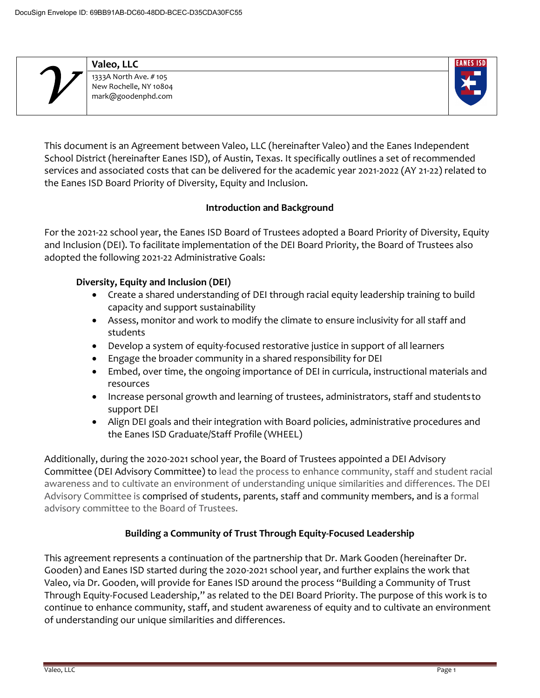| Valeo, LLC                                                            |
|-----------------------------------------------------------------------|
| 1333A North Ave. #105<br>New Rochelle, NY 10804<br>mark@goodenphd.com |



This document is an Agreement between Valeo, LLC (hereinafter Valeo) and the Eanes Independent School District (hereinafter Eanes ISD), of Austin, Texas. It specifically outlines a set of recommended services and associated costs that can be delivered for the academic year 2021-2022 (AY 21-22) related to the Eanes ISD Board Priority of Diversity, Equity and Inclusion.

#### **Introduction and Background**

For the 2021-22 school year, the Eanes ISD Board of Trustees adopted a Board Priority of Diversity, Equity and Inclusion (DEI). To facilitate implementation of the DEI Board Priority, the Board of Trustees also adopted the following 2021-22 Administrative Goals:

#### **Diversity, Equity and Inclusion (DEI)**

- Create a shared understanding of DEI through racial equity leadership training to build capacity and support sustainability
- Assess, monitor and work to modify the climate to ensure inclusivity for all staff and students
- Develop a system of equity-focused restorative justice in support of all learners
- Engage the broader community in a shared responsibility for DEI
- Embed, over time, the ongoing importance of DEI in curricula, instructional materials and resources
- Increase personal growth and learning of trustees, administrators, staff and studentsto support DEI
- Align DEI goals and their integration with Board policies, administrative procedures and the Eanes ISD Graduate/Staff Profile (WHEEL)

Additionally, during the 2020-2021 school year, the Board of Trustees appointed a DEI Advisory Committee (DEI Advisory Committee) to lead the process to enhance community, staff and student racial awareness and to cultivate an environment of understanding unique similarities and differences. The DEI Advisory Committee is comprised of students, parents, staff and community members, and is a formal advisory committee to the Board of Trustees.

# **Building a Community of Trust Through Equity-Focused Leadership**

This agreement represents a continuation of the partnership that Dr. Mark Gooden (hereinafter Dr. Gooden) and Eanes ISD started during the 2020-2021 school year, and further explains the work that Valeo, via Dr. Gooden, will provide for Eanes ISD around the process "Building a Community of Trust Through Equity-Focused Leadership," as related to the DEI Board Priority. The purpose of this work is to continue to enhance community, staff, and student awareness of equity and to cultivate an environment of understanding our unique similarities and differences.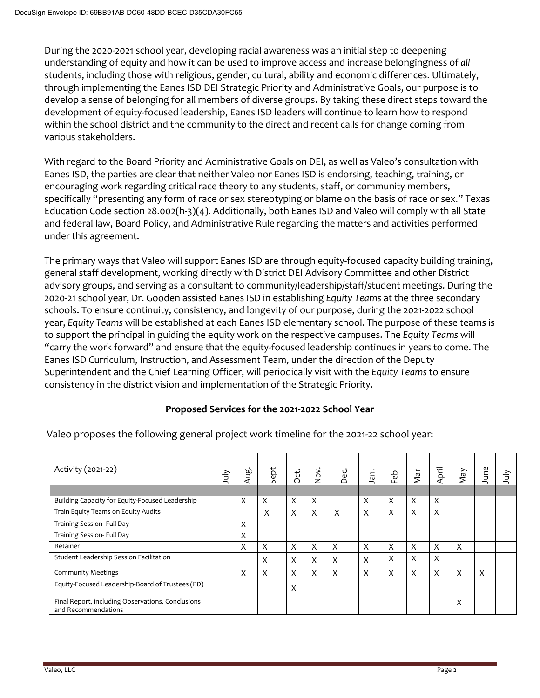During the 2020-2021 school year, developing racial awareness was an initial step to deepening understanding of equity and how it can be used to improve access and increase belongingness of *all*  students, including those with religious, gender, cultural, ability and economic differences. Ultimately, through implementing the Eanes ISD DEI Strategic Priority and Administrative Goals, our purpose is to develop a sense of belonging for all members of diverse groups. By taking these direct steps toward the development of equity-focused leadership, Eanes ISD leaders will continue to learn how to respond within the school district and the community to the direct and recent calls for change coming from various stakeholders.

With regard to the Board Priority and Administrative Goals on DEI, as well as Valeo's consultation with Eanes ISD, the parties are clear that neither Valeo nor Eanes ISD is endorsing, teaching, training, or encouraging work regarding critical race theory to any students, staff, or community members, specifically "presenting any form of race or sex stereotyping or blame on the basis of race or sex." Texas Education Code section 28.002(h-3)(4). Additionally, both Eanes ISD and Valeo will comply with all State and federal law, Board Policy, and Administrative Rule regarding the matters and activities performed under this agreement.

The primary ways that Valeo will support Eanes ISD are through equity-focused capacity building training, general staff development, working directly with District DEI Advisory Committee and other District advisory groups, and serving as a consultant to community/leadership/staff/student meetings. During the 2020-21 school year, Dr. Gooden assisted Eanes ISD in establishing *Equity Teams* at the three secondary schools. To ensure continuity, consistency, and longevity of our purpose, during the 2021-2022 school year, *Equity Teams* will be established at each Eanes ISD elementary school. The purpose of these teams is to support the principal in guiding the equity work on the respective campuses. The *Equity Teams* will "carry the work forward" and ensure that the equity-focused leadership continues in years to come. The Eanes ISD Curriculum, Instruction, and Assessment Team, under the direction of the Deputy Superintendent and the Chief Learning Officer, will periodically visit with the *Equity Teams* to ensure consistency in the district vision and implementation of the Strategic Priority.

## **Proposed Services for the 2021-2022 School Year**

| Activity (2021-22)                                                       |  | Aug | Sept | Oct. | Χo<br>Σ | Dec. | na,                       | ිලි<br>ட்                 | Nar | April | VeW                       | June | $\frac{1}{2}$ |
|--------------------------------------------------------------------------|--|-----|------|------|---------|------|---------------------------|---------------------------|-----|-------|---------------------------|------|---------------|
|                                                                          |  |     |      |      |         |      |                           |                           |     |       |                           |      |               |
| Building Capacity for Equity-Focused Leadership                          |  | X   | X    | X    | X       |      | X                         | X                         | X   | X     |                           |      |               |
| Train Equity Teams on Equity Audits                                      |  |     | X    | X    | X       | X    | X                         | X                         | X   | X     |                           |      |               |
| Training Session- Full Day                                               |  | X   |      |      |         |      |                           |                           |     |       |                           |      |               |
| Training Session- Full Day                                               |  | X   |      |      |         |      |                           |                           |     |       |                           |      |               |
| Retainer                                                                 |  | X   | X    | X    | X       | X    | $\boldsymbol{\mathsf{X}}$ | $\boldsymbol{\mathsf{X}}$ | X   | X     | $\boldsymbol{\mathsf{X}}$ |      |               |
| Student Leadership Session Facilitation                                  |  |     | X    | X    | X       | X    | X                         | X                         | X   | X     |                           |      |               |
| <b>Community Meetings</b>                                                |  | X   | X    | X    | X       | X    | X                         | X                         | X   | X     | X                         | X    |               |
| Equity-Focused Leadership-Board of Trustees (PD)                         |  |     |      | X    |         |      |                           |                           |     |       |                           |      |               |
| Final Report, including Observations, Conclusions<br>and Recommendations |  |     |      |      |         |      |                           |                           |     |       | $\times$                  |      |               |

Valeo proposes the following general project work timeline for the 2021-22 school year: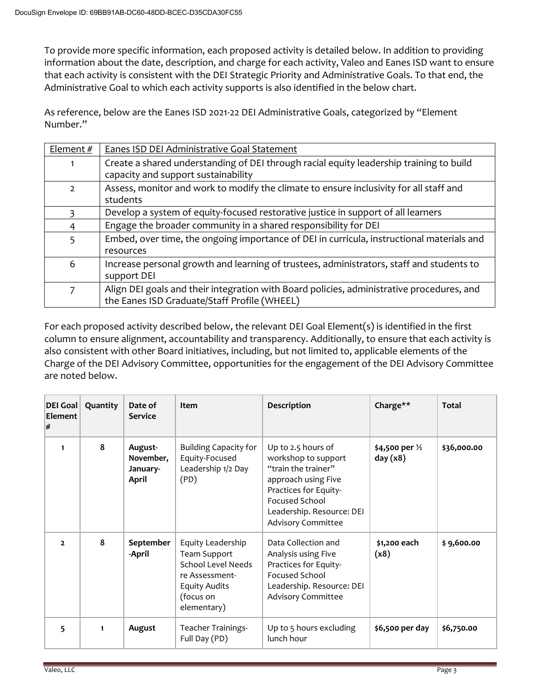To provide more specific information, each proposed activity is detailed below. In addition to providing information about the date, description, and charge for each activity, Valeo and Eanes ISD want to ensure that each activity is consistent with the DEI Strategic Priority and Administrative Goals. To that end, the Administrative Goal to which each activity supports is also identified in the below chart.

As reference, below are the Eanes ISD 2021-22 DEI Administrative Goals, categorized by "Element Number."

| Element $#$    | Eanes ISD DEI Administrative Goal Statement                                                                                               |
|----------------|-------------------------------------------------------------------------------------------------------------------------------------------|
|                | Create a shared understanding of DEI through racial equity leadership training to build<br>capacity and support sustainability            |
| $\overline{2}$ | Assess, monitor and work to modify the climate to ensure inclusivity for all staff and<br>students                                        |
| 3              | Develop a system of equity-focused restorative justice in support of all learners                                                         |
| 4              | Engage the broader community in a shared responsibility for DEI                                                                           |
| 5              | Embed, over time, the ongoing importance of DEI in curricula, instructional materials and<br>resources                                    |
| 6              | Increase personal growth and learning of trustees, administrators, staff and students to<br>support DEI                                   |
| 7              | Align DEI goals and their integration with Board policies, administrative procedures, and<br>the Eanes ISD Graduate/Staff Profile (WHEEL) |

For each proposed activity described below, the relevant DEI Goal Element(s) is identified in the first column to ensure alignment, accountability and transparency. Additionally, to ensure that each activity is also consistent with other Board initiatives, including, but not limited to, applicable elements of the Charge of the DEI Advisory Committee, opportunities for the engagement of the DEI Advisory Committee are noted below.

| $ DEI$ Goal<br>Element<br># | Quantity | Date of<br><b>Service</b>                 | Item                                                                                                                                        | <b>Description</b>                                                                                                                                                                                  | Charge**                      | <b>Total</b> |
|-----------------------------|----------|-------------------------------------------|---------------------------------------------------------------------------------------------------------------------------------------------|-----------------------------------------------------------------------------------------------------------------------------------------------------------------------------------------------------|-------------------------------|--------------|
|                             | 8        | August-<br>November,<br>January-<br>April | <b>Building Capacity for</b><br>Equity-Focused<br>Leadership 1/2 Day<br>(PD)                                                                | Up to 2.5 hours of<br>workshop to support<br>"train the trainer"<br>approach using Five<br>Practices for Equity-<br><b>Focused School</b><br>Leadership. Resource: DEI<br><b>Advisory Committee</b> | \$4,500 per 1/2<br>day $(x8)$ | \$36,000.00  |
| $\overline{2}$              | 8        | September<br>-April                       | Equity Leadership<br><b>Team Support</b><br><b>School Level Needs</b><br>re Assessment-<br><b>Equity Audits</b><br>(focus on<br>elementary) | Data Collection and<br>Analysis using Five<br>Practices for Equity-<br><b>Focused School</b><br>Leadership. Resource: DEI<br>Advisory Committee                                                     | \$1,200 each<br>(x8)          | \$9,600.00   |
| 5                           | 1        | August                                    | Teacher Trainings-<br>Full Day (PD)                                                                                                         | Up to 5 hours excluding<br>lunch hour                                                                                                                                                               | \$6,500 per day               | \$6,750.00   |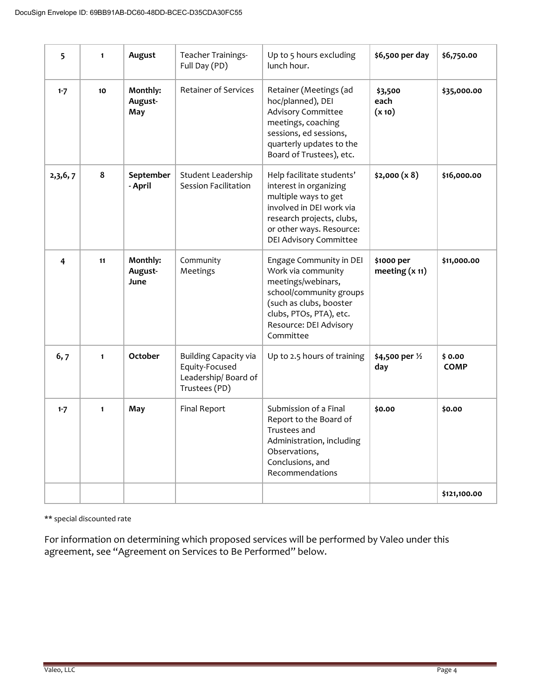| 5       | $\mathbf{1}$ | August                      | <b>Teacher Trainings-</b><br>Full Day (PD)                                             | Up to 5 hours excluding<br>\$6,500 per day<br>lunch hour.                                                                                                                                   |                                | \$6,750.00            |
|---------|--------------|-----------------------------|----------------------------------------------------------------------------------------|---------------------------------------------------------------------------------------------------------------------------------------------------------------------------------------------|--------------------------------|-----------------------|
| $1 - 7$ | 10           | Monthly:<br>August-<br>May  | <b>Retainer of Services</b>                                                            | Retainer (Meetings (ad<br>hoc/planned), DEI<br><b>Advisory Committee</b><br>meetings, coaching<br>sessions, ed sessions,<br>quarterly updates to the<br>Board of Trustees), etc.            | \$3,500<br>each<br>(x 10)      | \$35,000.00           |
| 2,3,6,7 | 8            | September<br>- April        | Student Leadership<br><b>Session Facilitation</b>                                      | Help facilitate students'<br>interest in organizing<br>multiple ways to get<br>involved in DEI work via<br>research projects, clubs,<br>or other ways. Resource:<br>DEI Advisory Committee  | \$2,000 (x 8)                  | \$16,000.00           |
| 4       | 11           | Monthly:<br>August-<br>June | Community<br>Meetings                                                                  | Engage Community in DEI<br>Work via community<br>meetings/webinars,<br>school/community groups<br>(such as clubs, booster<br>clubs, PTOs, PTA), etc.<br>Resource: DEI Advisory<br>Committee | \$1000 per<br>meeting $(x 11)$ | \$11,000.00           |
| 6,7     | $\mathbf{1}$ | <b>October</b>              | <b>Building Capacity via</b><br>Equity-Focused<br>Leadership/Board of<br>Trustees (PD) | Up to 2.5 hours of training<br>\$4,500 per 1/2<br>day                                                                                                                                       |                                | \$0.00<br><b>COMP</b> |
| $1 - 7$ | $\mathbf{1}$ | May                         | <b>Final Report</b>                                                                    | Submission of a Final<br>Report to the Board of<br>Trustees and<br>Administration, including<br>Observations,<br>Conclusions, and<br>Recommendations                                        | \$0.00                         | \$0.00                |
|         |              |                             |                                                                                        |                                                                                                                                                                                             |                                | \$121,100.00          |

\*\* special discounted rate

For information on determining which proposed services will be performed by Valeo under this agreement, see "Agreement on Services to Be Performed" below.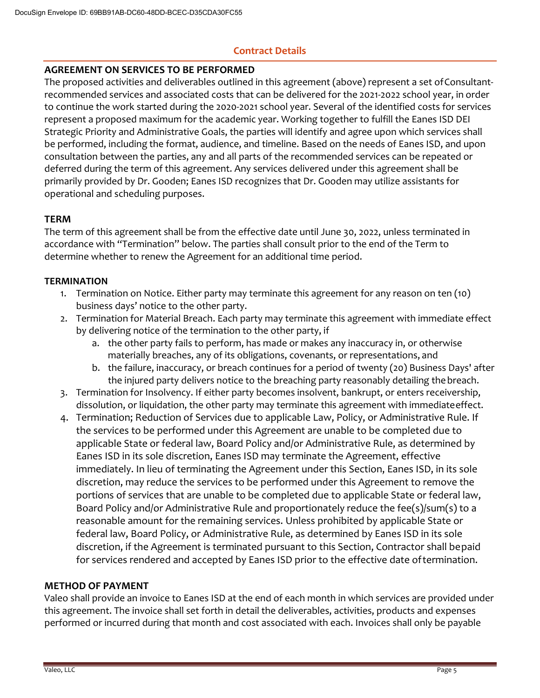# **Contract Details**

#### **AGREEMENT ON SERVICES TO BE PERFORMED**

The proposed activities and deliverables outlined in this agreement (above) represent a set of Consultantrecommended services and associated costs that can be delivered for the 2021-2022 school year, in order to continue the work started during the 2020-2021 school year. Several of the identified costs for services represent a proposed maximum for the academic year. Working together to fulfill the Eanes ISD DEI Strategic Priority and Administrative Goals, the parties will identify and agree upon which services shall be performed, including the format, audience, and timeline. Based on the needs of Eanes ISD, and upon consultation between the parties, any and all parts of the recommended services can be repeated or deferred during the term of this agreement. Any services delivered under this agreement shall be primarily provided by Dr. Gooden; Eanes ISD recognizes that Dr. Gooden may utilize assistants for operational and scheduling purposes.

## **TERM**

The term of this agreement shall be from the effective date until June 30, 2022, unless terminated in accordance with "Termination" below. The parties shall consult prior to the end of the Term to determine whether to renew the Agreement for an additional time period.

## **TERMINATION**

- 1. Termination on Notice. Either party may terminate this agreement for any reason on ten (10) business days' notice to the other party.
- 2. Termination for Material Breach. Each party may terminate this agreement with immediate effect by delivering notice of the termination to the other party, if
	- a. the other party fails to perform, has made or makes any inaccuracy in, or otherwise materially breaches, any of its obligations, covenants, or representations, and
	- b. the failure, inaccuracy, or breach continues for a period of twenty (20) Business Days' after the injured party delivers notice to the breaching party reasonably detailing thebreach.
- 3. Termination for Insolvency. If either party becomes insolvent, bankrupt, or enters receivership, dissolution, or liquidation, the other party may terminate this agreement with immediateeffect.
- 4. Termination; Reduction of Services due to applicable Law, Policy, or Administrative Rule. If the services to be performed under this Agreement are unable to be completed due to applicable State or federal law, Board Policy and/or Administrative Rule, as determined by Eanes ISD in its sole discretion, Eanes ISD may terminate the Agreement, effective immediately. In lieu of terminating the Agreement under this Section, Eanes ISD, in its sole discretion, may reduce the services to be performed under this Agreement to remove the portions of services that are unable to be completed due to applicable State or federal law, Board Policy and/or Administrative Rule and proportionately reduce the fee(s)/sum(s) to a reasonable amount for the remaining services. Unless prohibited by applicable State or federal law, Board Policy, or Administrative Rule, as determined by Eanes ISD in its sole discretion, if the Agreement is terminated pursuant to this Section, Contractor shall bepaid for services rendered and accepted by Eanes ISD prior to the effective date oftermination.

## **METHOD OF PAYMENT**

Valeo shall provide an invoice to Eanes ISD at the end of each month in which services are provided under this agreement. The invoice shall set forth in detail the deliverables, activities, products and expenses performed or incurred during that month and cost associated with each. Invoices shall only be payable